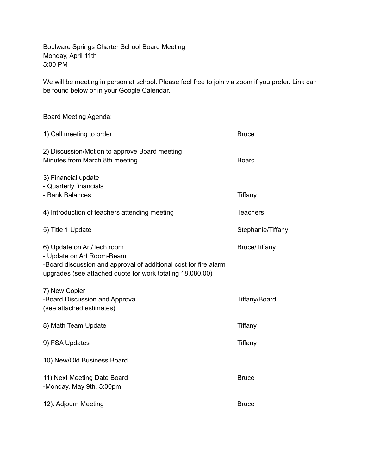Boulware Springs Charter School Board Meeting Monday, April 11th 5:00 PM

We will be meeting in person at school. Please feel free to join via zoom if you prefer. Link can be found below or in your Google Calendar.

| <b>Board Meeting Agenda:</b>                                                                                                                                                             |                      |
|------------------------------------------------------------------------------------------------------------------------------------------------------------------------------------------|----------------------|
| 1) Call meeting to order                                                                                                                                                                 | <b>Bruce</b>         |
| 2) Discussion/Motion to approve Board meeting<br>Minutes from March 8th meeting                                                                                                          | <b>Board</b>         |
| 3) Financial update<br>- Quarterly financials<br>- Bank Balances                                                                                                                         | Tiffany              |
| 4) Introduction of teachers attending meeting                                                                                                                                            | <b>Teachers</b>      |
| 5) Title 1 Update                                                                                                                                                                        | Stephanie/Tiffany    |
| 6) Update on Art/Tech room<br>- Update on Art Room-Beam<br>-Board discussion and approval of additional cost for fire alarm<br>upgrades (see attached quote for work totaling 18,080.00) | <b>Bruce/Tiffany</b> |
| 7) New Copier<br>-Board Discussion and Approval<br>(see attached estimates)                                                                                                              | <b>Tiffany/Board</b> |
| 8) Math Team Update                                                                                                                                                                      | Tiffany              |
| 9) FSA Updates                                                                                                                                                                           | Tiffany              |
| 10) New/Old Business Board                                                                                                                                                               |                      |
| 11) Next Meeting Date Board<br>-Monday, May 9th, 5:00pm                                                                                                                                  | <b>Bruce</b>         |
| 12). Adjourn Meeting                                                                                                                                                                     | <b>Bruce</b>         |